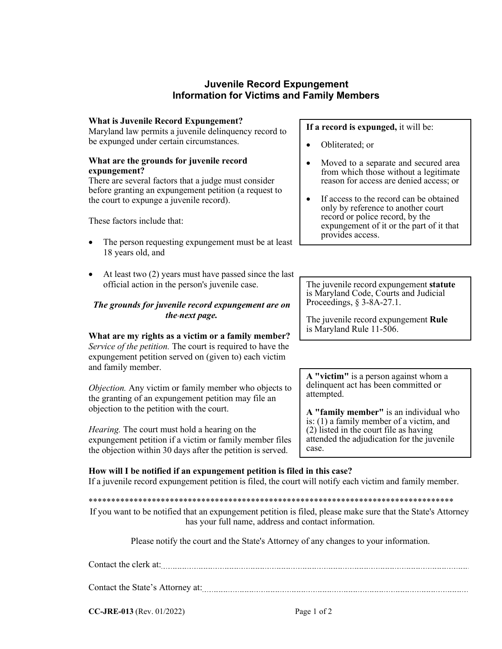# **Juvenile Record Expungement Information for Victims and Family Members**

#### **What is Juvenile Record Expungement?**

Maryland law permits a juvenile delinquency record to be expunged under certain circumstances.

### **What are the grounds for juvenile record expungement?**

There are several factors that a judge must consider before granting an expungement petition (a request to the court to expunge a juvenile record).

These factors include that:

- The person requesting expungement must be at least 18 years old, and
- At least two (2) years must have passed since the last official action in the person's juvenile case.

## *The grounds for juvenile record expungement are on the next page.*

**What are my rights as a victim or a family member?** *Service of the petition.* The court is required to have the expungement petition served on (given to) each victim and family member.

*Objection.* Any victim or family member who objects to the granting of an expungement petition may file an objection to the petition with the court.

*Hearing.* The court must hold a hearing on the expungement petition if a victim or family member files the objection within 30 days after the petition is served.

**If a record is expunged,** it will be:

- Obliterated; or
- Moved to a separate and secured area from which those without a legitimate reason for access are denied access; or
- If access to the record can be obtained only by reference to another court record or police record, by the expungement of it or the part of it that provides access.

The juvenile record expungement **statute** is Maryland Code, Courts and Judicial Proceedings, § 3-8A-27.1.

The juvenile record expungement **Rule** is Maryland Rule 11-506.

**A "victim"** is a person against whom a delinquent act has been committed or attempted.

**A "family member"** is an individual who is: (1) a family member of a victim, and  $(2)$  listed in the court file as having attended the adjudication for the juvenile case.

## **How will I be notified if an expungement petition is filed in this case?**

If a juvenile record expungement petition is filed, the court will notify each victim and family member.

\*\*\*\*\*\*\*\*\*\*\*\*\*\*\*\*\*\*\*\*\*\*\*\*\*\*\*\*\*\*\*\*\*\*\*\*\*\*\*\*\*\*\*\*\*\*\*\*\*\*\*\*\*\*\*\*\*\*\*\*\*\*\*\*\*\*\*\*\*\*\*\*\*\*\*\*\*\*\*\*\*

If you want to be notified that an expungement petition is filed, please make sure that the State's Attorney has your full name, address and contact information.

Please notify the court and the State's Attorney of any changes to your information.

| Contact the clerk at:            |  |  |
|----------------------------------|--|--|
|                                  |  |  |
| Contact the State's Attorney at: |  |  |

ontact the State's Attorney